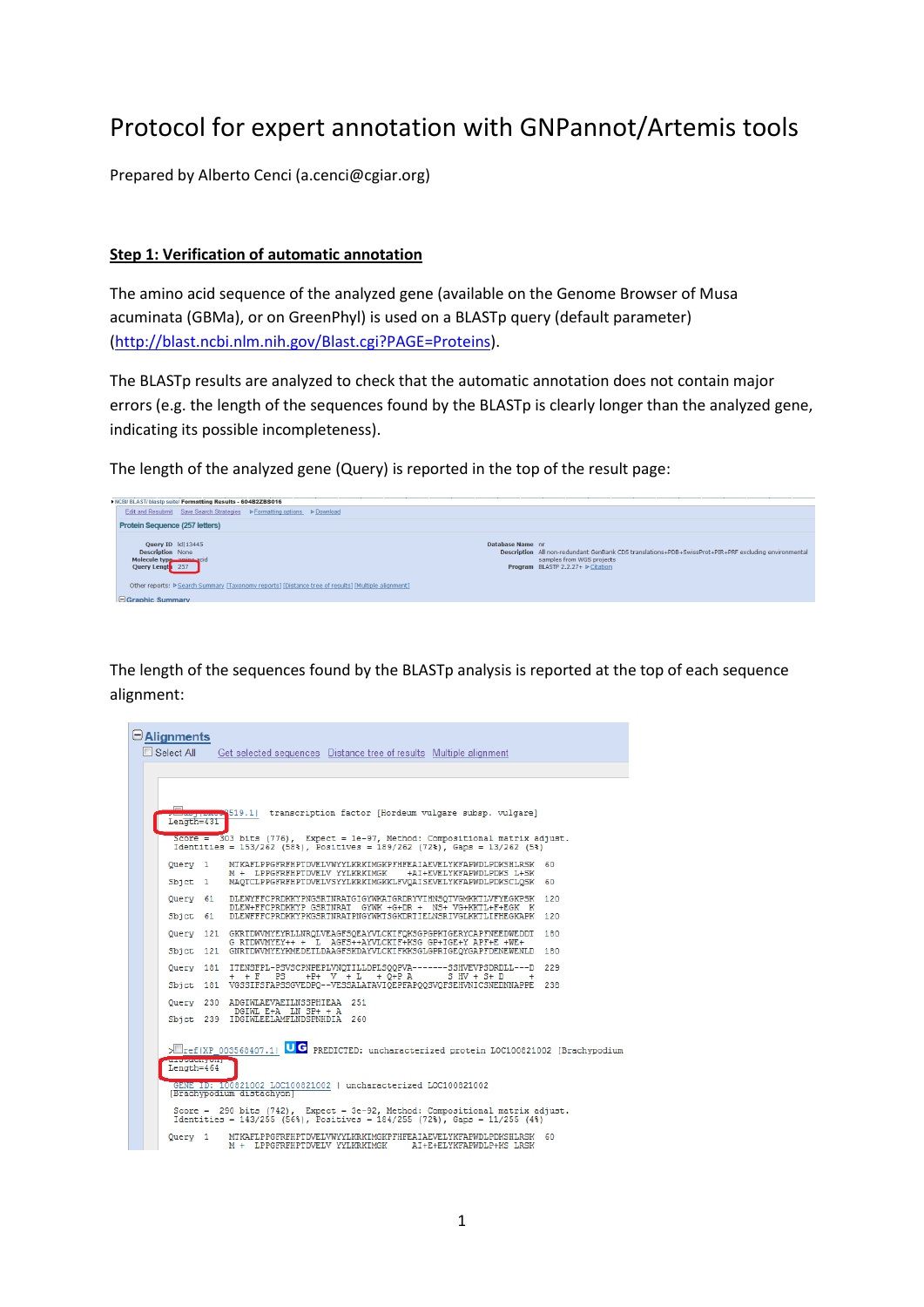# Protocol for expert annotation with GNPannot/Artemis tools

Prepared by Alberto Cenci (a.cenci@cgiar.org)

#### **Step 1: Verification of automatic annotation**

The amino acid sequence of the analyzed gene (available on the Genome Browser of Musa acuminata (GBMa), or on GreenPhyl) is used on a BLASTp query (default parameter) [\(http://blast.ncbi.nlm.nih.gov/Blast.cgi?PAGE=Proteins\)](http://blast.ncbi.nlm.nih.gov/Blast.cgi?PAGE=Proteins).

The BLASTp results are analyzed to check that the automatic annotation does not contain major errors (e.g. the length of the sequences found by the BLASTp is clearly longer than the analyzed gene, indicating its possible incompleteness).

The length of the analyzed gene (Query) is reported in the top of the result page:



The length of the sequences found by the BLASTp analysis is reported at the top of each sequence alignment:

| $\Box$ Alignments<br>Select All |                      | Get selected sequences Distance tree of results Multiple alignment                                                                                                |  |
|---------------------------------|----------------------|-------------------------------------------------------------------------------------------------------------------------------------------------------------------|--|
|                                 |                      |                                                                                                                                                                   |  |
|                                 |                      |                                                                                                                                                                   |  |
| $Lenath=431$                    |                      | <b>Must provide</b> S19.1  transcription factor [Hordeum vulgare subsp. vulgare]                                                                                  |  |
|                                 |                      | Score = $303$ bits (776), Expect = 1e-97, Method: Compositional matrix adjust.<br>Identities = $153/262$ (58%), Positives = $189/262$ (72%), Gaps = $13/262$ (5%) |  |
| Query 1                         |                      | MTKAFLPPGFRFHPTDVELVWYYLKRKIMGKPFHFEAIAEVELYKFAPWDLPDKSHLRSK 60<br>M + LPPGFRFHPTDVELV YYLKRKIMGK<br>+AI+EVELYKFAPWDLPDKS L+SK                                    |  |
| Sbict 1                         |                      | MAOTCLPPGFRFHPTDVELVSYYLKRKIMGKKLFVOAISEVELYKFAPWDLPDKSCLOSK 60                                                                                                   |  |
|                                 |                      | Ouerv 61 DLEWYFFCPRDKKYPNGSRTNRATGIGYWKATGRDRYVIHNSOTVGMKKTLVFYEGKPSK 120<br>DLEW+FFCPRDKKYP GSRTNRAT GYWK +G+DR + NS+ VG+KKTL+F+EGK K                            |  |
| Sbict 61                        |                      | DLEWFFFCPRDKKYPKGSRTNRATPNGYWKTSGKDRTIELNSRIVGLKKTLIFHEGKAPK 120                                                                                                  |  |
|                                 |                      | Query 121 GKRTDWVMYEYRLLNROLVEAGFSOEAYVLCKIFOKSGPGPKIGERYCAPFNEEDWEDDT 180<br>G RIDWVMYEY++ + L AGFS++AYVLCKIF+KSG GP+IGE+Y APF+E +WE+                            |  |
|                                 |                      | Sbict 121 GNRTDWVMYEYKMEDETLDAAGFSKDAYVLCKIFKKSGLGPRIGEOYGAPFDENEWENLD 180                                                                                        |  |
|                                 |                      | Query 181 ITENSFPL-PSVSCPNPEPLVNQTILLDPLSQQPVA-------SSHVEVPSDRDLL---D 229<br>$+P+ V + L + O+P A$<br>$+ + F$ PS<br>$S$ HV + $S+$ D                                |  |
|                                 |                      | Sbict 181 VGSSIFSFAPSSGVEDPO--VESSALATAVIÖEPFAPOOSVOFSEHVNICSNEDNNAPPE 238                                                                                        |  |
|                                 |                      | Ouerv 230 ADGIWLAEVAEILNSSPHIEAA 251<br>DGIWL E+A LN SP+ + A                                                                                                      |  |
|                                 |                      | Sbict 239 IDGIWLEELAMFLNDSPNHDIA 260                                                                                                                              |  |
|                                 | <b>PARTICIPATION</b> | >Tref(XP 003568407.1) UC PREDICTED: uncharacterized protein LOC100821002 [Brachypodium                                                                            |  |
| $Length=464$                    |                      |                                                                                                                                                                   |  |
|                                 |                      | GENE ID: 100821002 LOC100821002   uncharacterized LOC100821002<br>[Brachypodium distachyon]                                                                       |  |
|                                 |                      | Score = 290 bits (742), Expect = 3e-92, Method: Compositional matrix adjust.<br>Identities = $143/255$ (56%), Positives = $184/255$ (72%), Gaps = $11/255$ (4%)   |  |
| Query 1                         |                      | MTKAFLPPGFRFHPTDVELVWYYLKRKIMGKPFHFEAIAEVELYKFAPWDLPDKSHLRSK 60<br>M + LPPGFRFHPTDVELV YYLKRKIMGK<br>AI+E+ELYKFAPWDLP+KS LRSK                                     |  |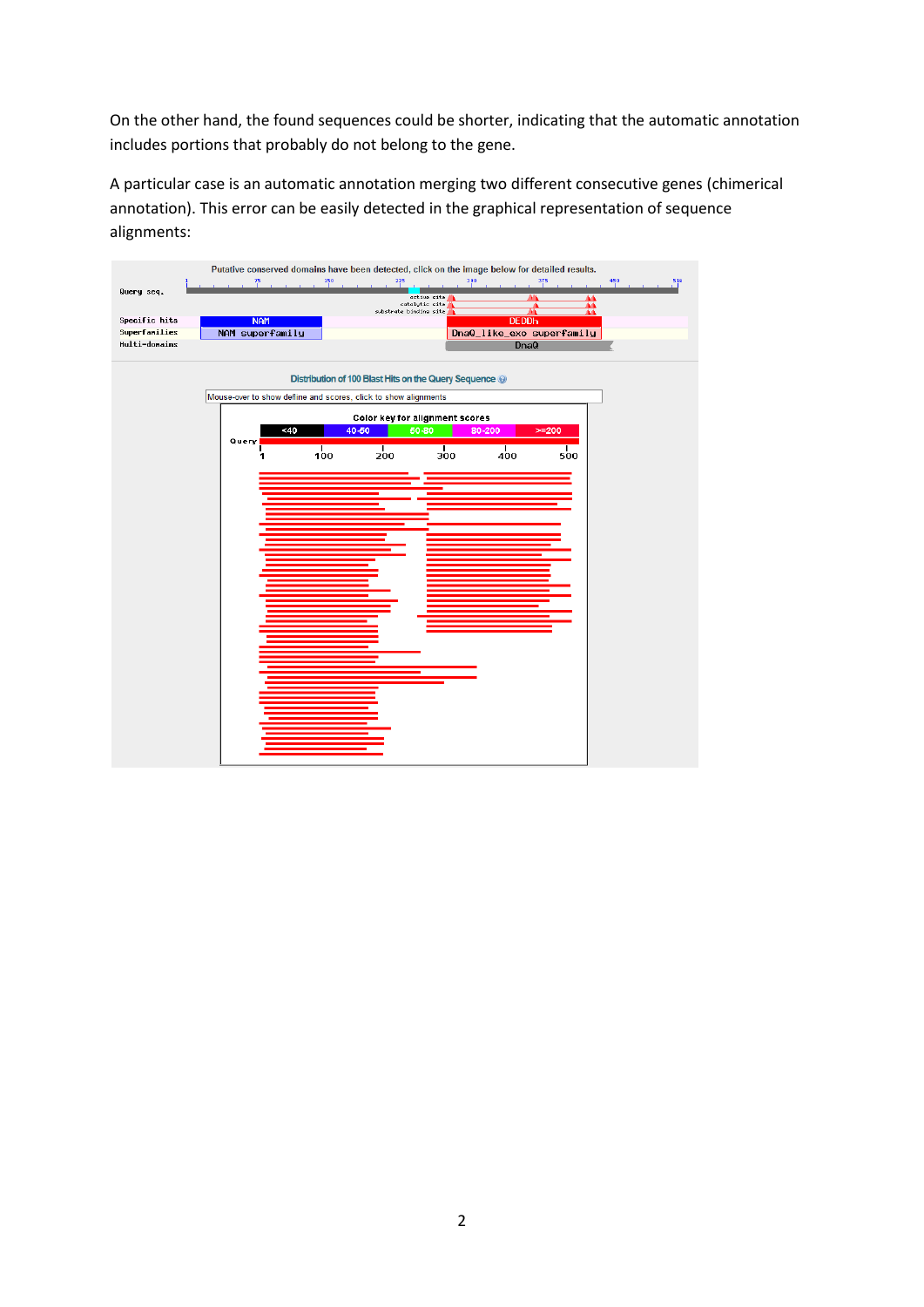On the other hand, the found sequences could be shorter, indicating that the automatic annotation includes portions that probably do not belong to the gene.

A particular case is an automatic annotation merging two different consecutive genes (chimerical annotation). This error can be easily detected in the graphical representation of sequence alignments:

| Query seq.    | Putative conserved domains have been detected, click on the image below for detailed results.<br>75 | 150<br>225<br>active site<br>catalytic site<br>substrate binding site | 390                                | 375<br>450<br>516<br>44<br>쬺 |
|---------------|-----------------------------------------------------------------------------------------------------|-----------------------------------------------------------------------|------------------------------------|------------------------------|
| Specific hits | <b>NAM</b>                                                                                          |                                                                       | <b>DEDDh</b>                       |                              |
| Superfamilies | NAM superfamily                                                                                     |                                                                       | DnaQ_like_exo superfamily          |                              |
| Multi-donains |                                                                                                     |                                                                       | D <sub>na</sub> Q                  |                              |
|               | Mouse-over to show defline and scores, click to show alignments                                     | Distribution of 100 Blast Hits on the Query Sequence @                |                                    |                              |
|               |                                                                                                     | Color key for alignment scores                                        |                                    |                              |
|               | $-40$<br>Query                                                                                      | 40-50<br>50-80                                                        | 80-200                             | $>= 200$                     |
|               | $\frac{1}{100}$                                                                                     | $\frac{1}{200}$                                                       | $\frac{1}{400}$<br>$\frac{1}{300}$ | $\frac{1}{500}$              |
|               |                                                                                                     |                                                                       |                                    |                              |
|               |                                                                                                     |                                                                       |                                    |                              |
|               |                                                                                                     |                                                                       |                                    |                              |
|               |                                                                                                     |                                                                       |                                    |                              |
|               |                                                                                                     |                                                                       |                                    |                              |
|               |                                                                                                     |                                                                       |                                    |                              |
|               |                                                                                                     |                                                                       |                                    |                              |
|               |                                                                                                     |                                                                       |                                    |                              |
|               |                                                                                                     |                                                                       |                                    |                              |
|               |                                                                                                     |                                                                       |                                    |                              |
|               |                                                                                                     |                                                                       |                                    |                              |
|               |                                                                                                     |                                                                       |                                    |                              |
|               |                                                                                                     |                                                                       |                                    |                              |
|               |                                                                                                     |                                                                       |                                    |                              |
|               |                                                                                                     |                                                                       |                                    |                              |
|               |                                                                                                     |                                                                       |                                    |                              |
|               |                                                                                                     |                                                                       |                                    |                              |
|               |                                                                                                     |                                                                       |                                    |                              |
|               |                                                                                                     |                                                                       |                                    |                              |
|               |                                                                                                     |                                                                       |                                    |                              |
|               |                                                                                                     |                                                                       |                                    |                              |
|               |                                                                                                     |                                                                       |                                    |                              |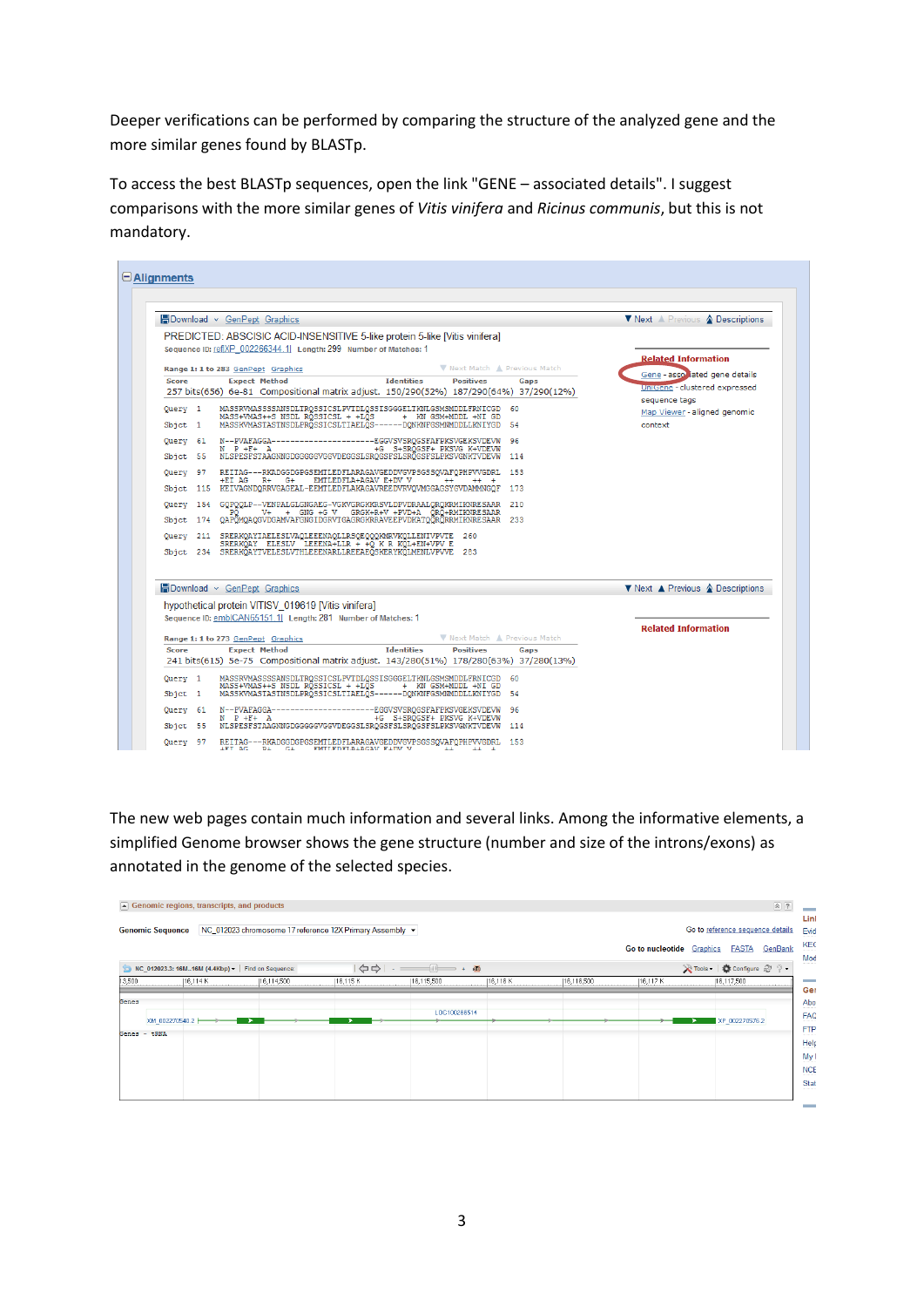Deeper verifications can be performed by comparing the structure of the analyzed gene and the more similar genes found by BLASTp.

To access the best BLASTp sequences, open the link "GENE – associated details". I suggest comparisons with the more similar genes of *Vitis vinifera* and *Ricinus communis*, but this is not mandatory.

| <b>H</b> Download v GenPept Graphics                                                                                                                                                                                    | ▼ Next A Previous A Descriptions                                |
|-------------------------------------------------------------------------------------------------------------------------------------------------------------------------------------------------------------------------|-----------------------------------------------------------------|
| PREDICTED: ABSCISIC ACID-INSENSITIVE 5-like protein 5-like [Vitis vinifera]<br>Sequence ID: ref(XP 002266344.1) Length: 299 Number of Matches: 1<br>V Next Match A Previous Match<br>Range 1: 1 to 283 GenPept Graphics | <b>Related Information</b>                                      |
| <b>Expect Method</b><br><b>Identities</b><br><b>Positives</b><br><b>Score</b><br>Gaps                                                                                                                                   | Gene - asso lated gene details<br>UniGene - clustered expressed |
| 257 bits(656) 6e-81 Compositional matrix adjust. 150/290(52%) 187/290(64%) 37/290(12%)                                                                                                                                  | sequence tags                                                   |
| MASSRVMASSSSANSDLTROSSICSLPVTDLOSSISGGGELTKNLGSMSMDDLFRNICGD<br>Query 1<br>-60                                                                                                                                          | Map Viewer - aligned genomic                                    |
| MASS+VMAS++S NSDL ROSSICSL + +LOS<br>+ KN GSM+MDDL +NI GD<br>MASSKVMASTASTNSDLPRQSSICSLTIAELQS------DQNKNFGSMMMDDLLKNIYGD<br>Sbjct 1<br>-54                                                                             | context                                                         |
| ---------EGGVSVSRQGSFAFPKSVGEKSVDEVW<br>N--PVAFAGGA-----<br>Query 61<br>96                                                                                                                                              |                                                                 |
| $N$ $P$ + $F$ + $A$<br>+G S+SRQGSF+ PKSVG K+VDEVW<br>NLSPESFSTAAGNNGDGGGGGVGGVDEGGSLSRQGSFSLSRQGSFSLPKSVGNKTVDEVW<br>Sbjct 55<br>114                                                                                    |                                                                 |
| REITAG---RKADGGDGPGSEMTLEDFLARAGAVGEDDVGVPSGSSQVAFQPHPVVGDRL<br>Query 97<br>153                                                                                                                                         |                                                                 |
| $+EI$ AG R $+$ G $+$<br>EMTLEDFLA+AGAV E+DV V<br>$++$<br>$++ +$                                                                                                                                                         |                                                                 |
| Sbict 115 KEIVAGNDORRVGAGEAL-EEMTLEDFLAKAGAVREEDVRVOVMGGAGSYGVDAMMNGOF<br>173                                                                                                                                           |                                                                 |
| Query 154 GQPQQLP--VENPALGLGNGAEG-VGKVGRGKKRSVLDPVDRAALQRQKRMIKNRESAAR<br>210<br>V+ + GNG +G V GRGK+R+V +PVD+A ORO+RMIKNRESAAR<br>PO.                                                                                   |                                                                 |
| Sbjct 174 QAPOMQAQGVDGAMVAFGNGIDGRVTGAGRGKRRAVEEPVDKATQQRQRRMIKNRESAAR<br>233                                                                                                                                           |                                                                 |
| Query 211 SRERKQAYIAELESLVAQLEEENAQLLRSQEQQQKMRVKQLLENIVPVTE 260                                                                                                                                                        |                                                                 |
| SRERKQAY ELESLV LEEENA+LLR + +Q K R KQL+EN+VPV E<br>Sbict 234 SRERKÖAYTVELESLVTHLEEENARLLREEAEÖSKERYKÖLMENLVPVVE 283                                                                                                    |                                                                 |
|                                                                                                                                                                                                                         |                                                                 |
| <b>H</b> Download ~ GenPept Graphics                                                                                                                                                                                    | ▼ Next ▲ Previous ▲ Descriptions                                |
| hypothetical protein VITISV 019619 [Vitis vinifera]                                                                                                                                                                     |                                                                 |
| Sequence ID: emb CAN65151.1  Length: 281 Number of Matches: 1                                                                                                                                                           |                                                                 |
|                                                                                                                                                                                                                         | <b>Related Information</b>                                      |
| V Next Match A Previous Match<br>Range 1: 1 to 273 GenPept Graphics                                                                                                                                                     |                                                                 |
| <b>Identities</b><br><b>Positives</b><br><b>Expect Method</b><br><b>Score</b><br>Gaps<br>241 bits(615) 5e-75 Compositional matrix adjust. 143/280(51%) 178/280(63%) 37/280(13%)                                         |                                                                 |
|                                                                                                                                                                                                                         |                                                                 |
| MASSRVMASSSSANSDLTRQSSICSLPVTDLQSSISGGGELTKNLGSMSMDDLFRNICGD<br>Query 1<br>-60<br>MASS+VMAS++S NSDL RÕSSICSL + +LÕS<br>+ KN GSM+MDDL +NI GD                                                                             |                                                                 |
| MASSKVMASTASTNSDLPRÖSSICSLTIAELÖS------DONKNFGSMNMDDLLKNIYGD<br>54<br>$S$ bjct $1$                                                                                                                                      |                                                                 |
| N--PVAFAGGA----------<br>------EGGVSVSRQGSFAFPKSVGEKSVDEVW<br>Query 61<br>96<br>+G S+SRQGSF+ PKSVG K+VDEVW<br>$N$ $P$ $+F$ $+$ $R$                                                                                      |                                                                 |
|                                                                                                                                                                                                                         |                                                                 |

The new web pages contain much information and several links. Among the informative elements, a simplified Genome browser shows the gene structure (number and size of the introns/exons) as annotated in the genome of the selected species.

|        |                                | $\boxed{\blacktriangle}$ Genomic regions, transcripts, and products |                                                                  |                                                          |                                                                                                                                                                                                                                                                                                                                                                   |          |            |                                  | $\Omega$                                                    |                                           |
|--------|--------------------------------|---------------------------------------------------------------------|------------------------------------------------------------------|----------------------------------------------------------|-------------------------------------------------------------------------------------------------------------------------------------------------------------------------------------------------------------------------------------------------------------------------------------------------------------------------------------------------------------------|----------|------------|----------------------------------|-------------------------------------------------------------|-------------------------------------------|
|        | <b>Genomic Sequence</b>        |                                                                     |                                                                  | NC_012023 chromosome 17 reference 12X Primary Assembly v |                                                                                                                                                                                                                                                                                                                                                                   |          |            | <b>Go to nucleotide</b> Graphics | Go to reference sequence details<br>GenBank<br><b>FASTA</b> | Linl<br>Evid<br>KEO<br>Mod                |
| 13,500 |                                | 16, 114K                                                            | NC_012023.3: 16M16M (4.4Kbp) -   Find on Sequence:<br>16,114,500 | 16,115K                                                  | $\begin{picture}(150,10) \put(0,0){\line(1,0){10}} \put(15,0){\line(1,0){10}} \put(15,0){\line(1,0){10}} \put(15,0){\line(1,0){10}} \put(15,0){\line(1,0){10}} \put(15,0){\line(1,0){10}} \put(15,0){\line(1,0){10}} \put(15,0){\line(1,0){10}} \put(15,0){\line(1,0){10}} \put(15,0){\line(1,0){10}} \put(15,0){\line(1,0){10}} \put(15,0){\line($<br>16,115,500 | 16,116 K | 16,116,500 | 16,117 K                         | Tools - Configure 2 ? -<br>16,117,500                       | <b>Contractor</b>                         |
| Genes  | XM_002270540.2<br>Genes - tRNA |                                                                     |                                                                  |                                                          | LOC100266514                                                                                                                                                                                                                                                                                                                                                      |          |            |                                  | XP_002270576.2                                              | Gel<br>Abo<br>FAQ<br><b>FTP</b>           |
|        |                                |                                                                     |                                                                  |                                                          |                                                                                                                                                                                                                                                                                                                                                                   |          |            |                                  |                                                             | Help<br>My I<br><b>NCE</b><br><b>Stat</b> |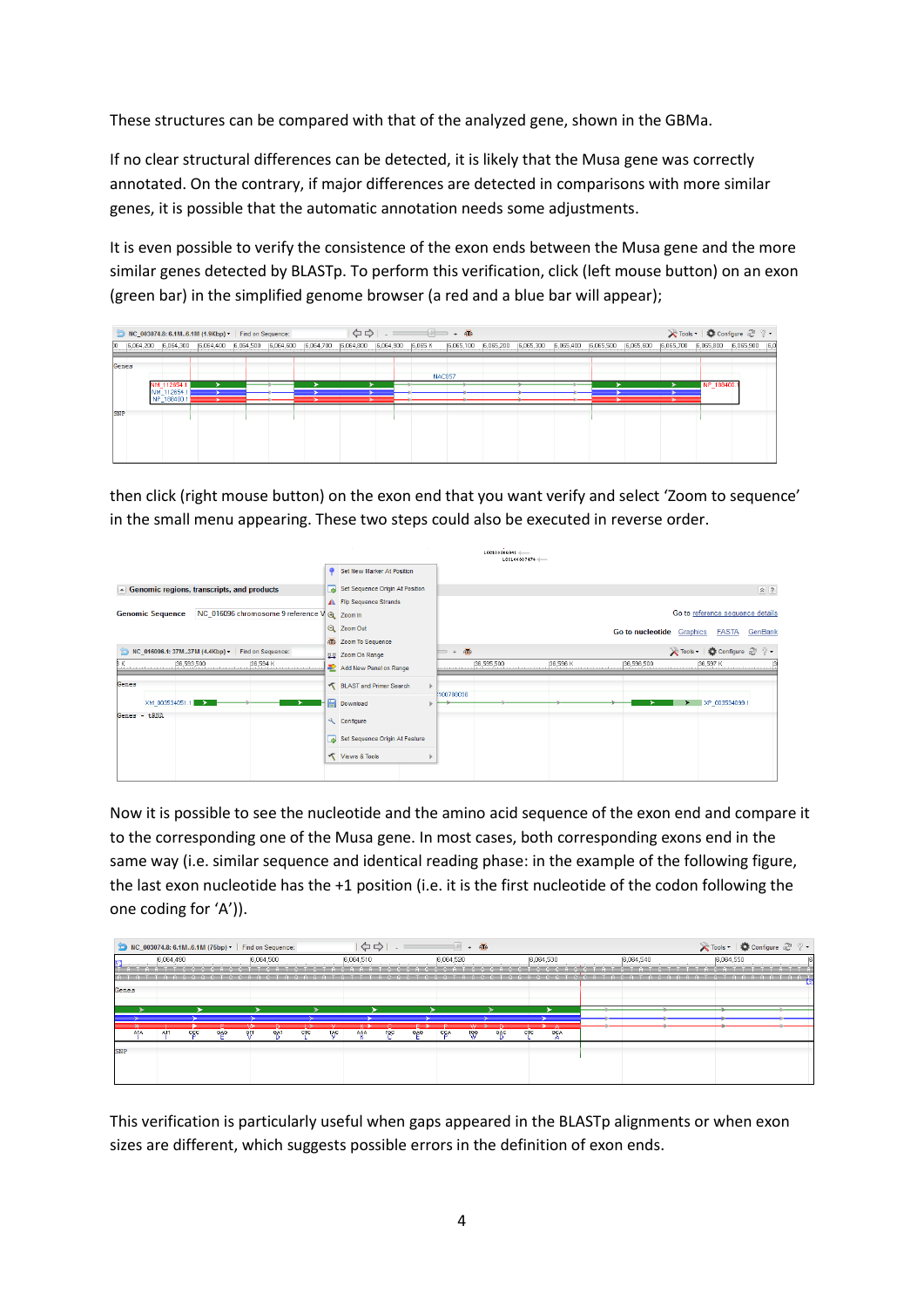These structures can be compared with that of the analyzed gene, shown in the GBMa.

If no clear structural differences can be detected, it is likely that the Musa gene was correctly annotated. On the contrary, if major differences are detected in comparisons with more similar genes, it is possible that the automatic annotation needs some adjustments.

It is even possible to verify the consistence of the exon ends between the Musa gene and the more similar genes detected by BLASTp. To perform this verification, click (left mouse button) on an exon (green bar) in the simplified genome browser (a red and a blue bar will appear);

|            | NC 003074.8: 6.1M6.1M (1.9Kbp) > Find on Sequence:    |  |                                       |  | $\begin{picture}(150,10) \put(0,0){\line(1,0){10}} \put(15,0){\line(1,0){10}} \put(15,0){\line(1,0){10}} \put(15,0){\line(1,0){10}} \put(15,0){\line(1,0){10}} \put(15,0){\line(1,0){10}} \put(15,0){\line(1,0){10}} \put(15,0){\line(1,0){10}} \put(15,0){\line(1,0){10}} \put(15,0){\line(1,0){10}} \put(15,0){\line(1,0){10}} \put(15,0){\line($ |           |           |           |  |  |            | Tools +   Configure 2 ? -                                             |
|------------|-------------------------------------------------------|--|---------------------------------------|--|-----------------------------------------------------------------------------------------------------------------------------------------------------------------------------------------------------------------------------------------------------------------------------------------------------------------------------------------------------|-----------|-----------|-----------|--|--|------------|-----------------------------------------------------------------------|
|            | 6,064,200  6,064,300  6,064,400  6,064,500  6,064,600 |  | 6,064,700 6,064,800 6,064,900 6,065 K |  |                                                                                                                                                                                                                                                                                                                                                     | 6,065,100 | 6,065,200 | 6,065,300 |  |  |            | 6,065,400  6,065,500  6,065,600  6,065,700  6,065,800  6,065,900  6,0 |
| Genes      |                                                       |  |                                       |  |                                                                                                                                                                                                                                                                                                                                                     | NAC057    |           |           |  |  |            |                                                                       |
|            | NM 112654.1                                           |  |                                       |  |                                                                                                                                                                                                                                                                                                                                                     |           |           |           |  |  | NP 188400. |                                                                       |
|            | NM_112654.1<br>NP_188400.1                            |  |                                       |  |                                                                                                                                                                                                                                                                                                                                                     |           |           |           |  |  |            |                                                                       |
| <b>SNP</b> |                                                       |  |                                       |  |                                                                                                                                                                                                                                                                                                                                                     |           |           |           |  |  |            |                                                                       |
|            |                                                       |  |                                       |  |                                                                                                                                                                                                                                                                                                                                                     |           |           |           |  |  |            |                                                                       |
|            |                                                       |  |                                       |  |                                                                                                                                                                                                                                                                                                                                                     |           |           |           |  |  |            |                                                                       |
|            |                                                       |  |                                       |  |                                                                                                                                                                                                                                                                                                                                                     |           |           |           |  |  |            |                                                                       |

then click (right mouse button) on the exon end that you want verify and select 'Zoom to sequence' in the small menu appearing. These two steps could also be executed in reverse order.

|                                                                         |                                         |           |     | $1.00100806941$ (<br>100100807474 |          |                           |                                  |                      |
|-------------------------------------------------------------------------|-----------------------------------------|-----------|-----|-----------------------------------|----------|---------------------------|----------------------------------|----------------------|
|                                                                         | Set New Marker At Position              |           |     |                                   |          |                           |                                  |                      |
| $\blacktriangleright$ Genomic regions, transcripts, and products        | Set Sequence Origin At Position         |           |     |                                   |          |                           |                                  | $(\alpha)$ ?         |
|                                                                         | A Flip Sequence Strands                 |           |     |                                   |          |                           |                                  |                      |
| NC_016096 chromosome 9 reference V @ Zoom In<br><b>Genomic Sequence</b> |                                         |           |     |                                   |          |                           | Go to reference sequence details |                      |
|                                                                         | Q Zoom Out                              |           |     |                                   |          | Go to nucleotide Graphics |                                  | <b>FASTA</b> GenBank |
|                                                                         | AT& Zoom To Sequence                    |           |     |                                   |          |                           |                                  |                      |
| NC 016096.1: 37M37M (4.4Kbp) - Find on Sequence:                        | Zoom On Range                           | $+$       | AT6 |                                   |          |                           | Tools - Configure 2 ? -          |                      |
| bκ<br>36,593,500<br>[36,594 K]                                          | Add New Panel on Range                  |           |     | 36,595,500                        | 36,596 K | (36,596,500               | 36,597 K                         |                      |
| Genes                                                                   | BLAST and Primer Search<br>$\mathbf{b}$ | 100788036 |     |                                   |          |                           |                                  |                      |
| XM_003534051.1<br>∾                                                     | Download                                |           |     |                                   |          |                           | XP_003534099.1                   |                      |
| Genes - tRNA                                                            | Configure                               |           |     |                                   |          |                           |                                  |                      |
|                                                                         | Set Sequence Origin At Feature          |           |     |                                   |          |                           |                                  |                      |
|                                                                         | Views & Tools                           |           |     |                                   |          |                           |                                  |                      |
|                                                                         |                                         |           |     |                                   |          |                           |                                  |                      |

Now it is possible to see the nucleotide and the amino acid sequence of the exon end and compare it to the corresponding one of the Musa gene. In most cases, both corresponding exons end in the same way (i.e. similar sequence and identical reading phase: in the example of the following figure, the last exon nucleotide has the +1 position (i.e. it is the first nucleotide of the codon following the one coding for 'A')).

|            |     |           |     | MC_003074.8: 6.1M6.1M (75bp) • Find on Sequence: |           |     |            |           | $\Rightarrow$ | c.  |     |           | $\blacksquare$<br>郁<br>$+$ |     |            |            |           |           | <b>X</b> Tools ▼   ● Configure 2 ? ● |  |
|------------|-----|-----------|-----|--------------------------------------------------|-----------|-----|------------|-----------|---------------|-----|-----|-----------|----------------------------|-----|------------|------------|-----------|-----------|--------------------------------------|--|
|            |     | 6,064,490 |     |                                                  | 6,064,500 |     |            |           | 6,064,510     |     |     | 6,064,520 |                            |     |            | 6,064,530  | 6,064,540 | 6,064,550 |                                      |  |
|            |     |           |     |                                                  |           |     |            |           |               |     |     |           |                            |     |            |            |           |           |                                      |  |
|            |     |           |     |                                                  |           |     |            |           |               |     |     |           |                            |     |            |            |           |           | G T A A A A A T A A T                |  |
| Genes      |     |           |     |                                                  |           |     |            |           |               |     |     |           |                            |     |            |            |           |           |                                      |  |
|            |     |           |     |                                                  |           |     |            |           |               |     |     |           |                            |     |            |            |           |           |                                      |  |
|            |     |           |     |                                                  |           |     |            |           |               |     |     |           |                            |     |            |            |           |           |                                      |  |
|            |     |           |     |                                                  |           |     |            |           |               |     |     |           |                            |     |            |            |           |           |                                      |  |
|            | AIA | AII       | ccc | 686                                              |           | GAT | <b>CTC</b> | <b>AC</b> | AAA           | TGC | 686 | CCA       | -199                       | GAC | <b>CTC</b> | <b>GCA</b> |           |           |                                      |  |
|            |     |           |     |                                                  |           |     |            |           |               |     |     |           |                            |     |            |            |           |           |                                      |  |
| <b>SNP</b> |     |           |     |                                                  |           |     |            |           |               |     |     |           |                            |     |            |            |           |           |                                      |  |
|            |     |           |     |                                                  |           |     |            |           |               |     |     |           |                            |     |            |            |           |           |                                      |  |
|            |     |           |     |                                                  |           |     |            |           |               |     |     |           |                            |     |            |            |           |           |                                      |  |

This verification is particularly useful when gaps appeared in the BLASTp alignments or when exon sizes are different, which suggests possible errors in the definition of exon ends.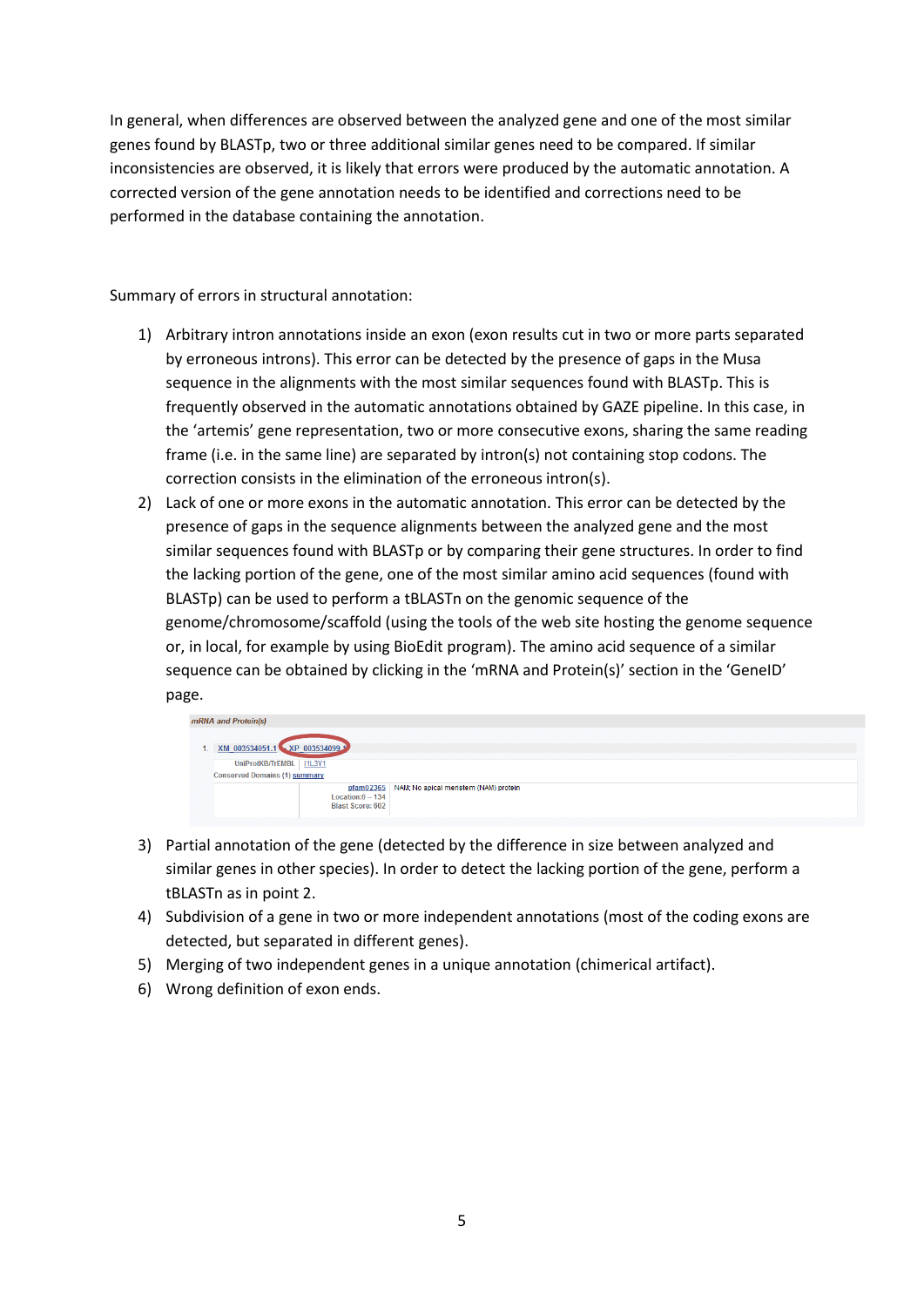In general, when differences are observed between the analyzed gene and one of the most similar genes found by BLASTp, two or three additional similar genes need to be compared. If similar inconsistencies are observed, it is likely that errors were produced by the automatic annotation. A corrected version of the gene annotation needs to be identified and corrections need to be performed in the database containing the annotation.

Summary of errors in structural annotation:

- 1) Arbitrary intron annotations inside an exon (exon results cut in two or more parts separated by erroneous introns). This error can be detected by the presence of gaps in the Musa sequence in the alignments with the most similar sequences found with BLASTp. This is frequently observed in the automatic annotations obtained by GAZE pipeline. In this case, in the 'artemis' gene representation, two or more consecutive exons, sharing the same reading frame (i.e. in the same line) are separated by intron(s) not containing stop codons. The correction consists in the elimination of the erroneous intron(s).
- 2) Lack of one or more exons in the automatic annotation. This error can be detected by the presence of gaps in the sequence alignments between the analyzed gene and the most similar sequences found with BLASTp or by comparing their gene structures. In order to find the lacking portion of the gene, one of the most similar amino acid sequences (found with BLASTp) can be used to perform a tBLASTn on the genomic sequence of the genome/chromosome/scaffold (using the tools of the web site hosting the genome sequence or, in local, for example by using BioEdit program). The amino acid sequence of a similar sequence can be obtained by clicking in the 'mRNA and Protein(s)' section in the 'GeneID' page.



- 3) Partial annotation of the gene (detected by the difference in size between analyzed and similar genes in other species). In order to detect the lacking portion of the gene, perform a tBLASTn as in point 2.
- 4) Subdivision of a gene in two or more independent annotations (most of the coding exons are detected, but separated in different genes).
- 5) Merging of two independent genes in a unique annotation (chimerical artifact).
- 6) Wrong definition of exon ends.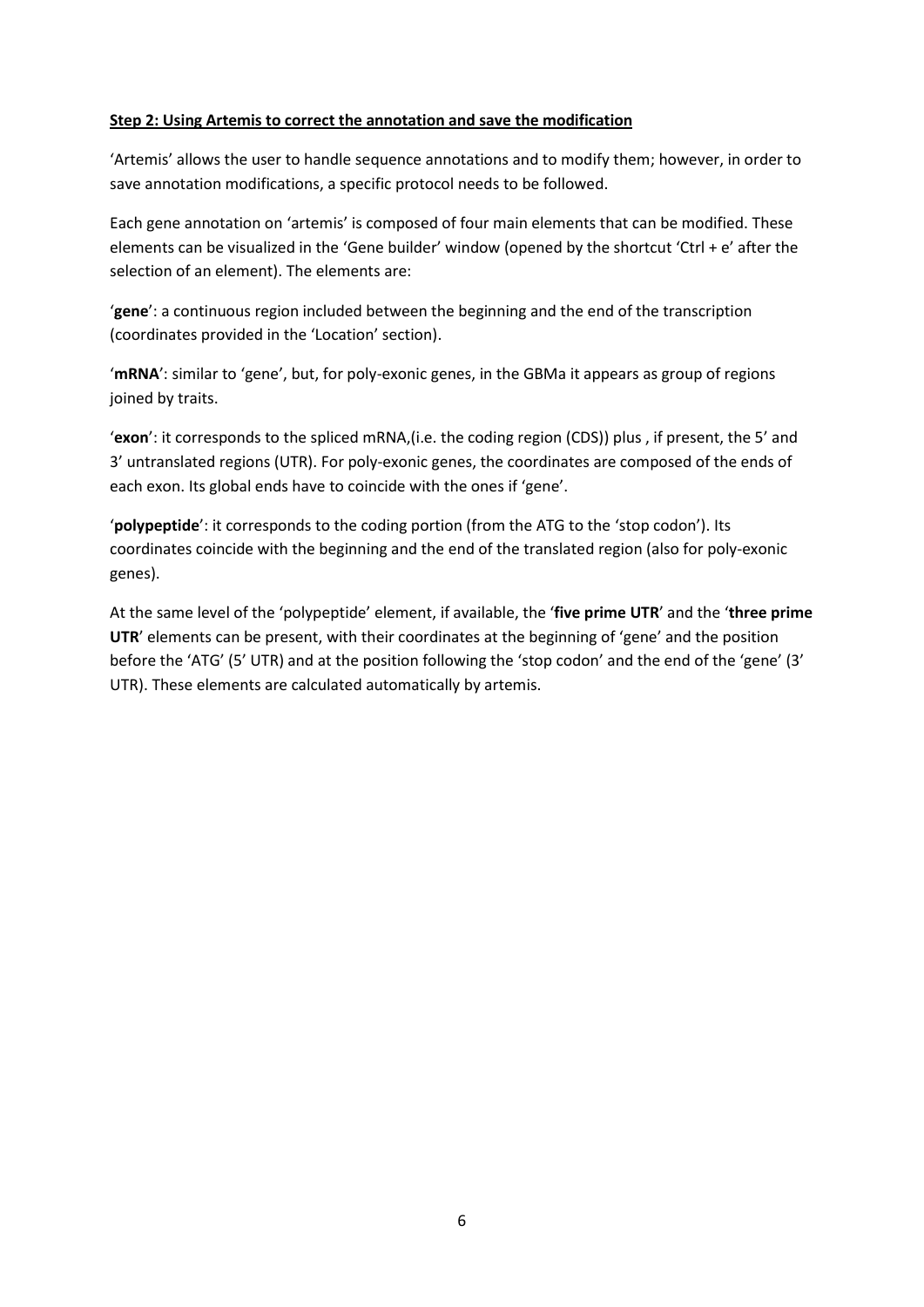## **Step 2: Using Artemis to correct the annotation and save the modification**

'Artemis' allows the user to handle sequence annotations and to modify them; however, in order to save annotation modifications, a specific protocol needs to be followed.

Each gene annotation on 'artemis' is composed of four main elements that can be modified. These elements can be visualized in the 'Gene builder' window (opened by the shortcut 'Ctrl + e' after the selection of an element). The elements are:

'**gene**': a continuous region included between the beginning and the end of the transcription (coordinates provided in the 'Location' section).

'**mRNA**': similar to 'gene', but, for poly-exonic genes, in the GBMa it appears as group of regions joined by traits.

'**exon**': it corresponds to the spliced mRNA,(i.e. the coding region (CDS)) plus , if present, the 5' and 3' untranslated regions (UTR). For poly-exonic genes, the coordinates are composed of the ends of each exon. Its global ends have to coincide with the ones if 'gene'.

'**polypeptide**': it corresponds to the coding portion (from the ATG to the 'stop codon'). Its coordinates coincide with the beginning and the end of the translated region (also for poly-exonic genes).

At the same level of the 'polypeptide' element, if available, the '**five prime UTR**' and the '**three prime UTR**' elements can be present, with their coordinates at the beginning of 'gene' and the position before the 'ATG' (5' UTR) and at the position following the 'stop codon' and the end of the 'gene' (3' UTR). These elements are calculated automatically by artemis.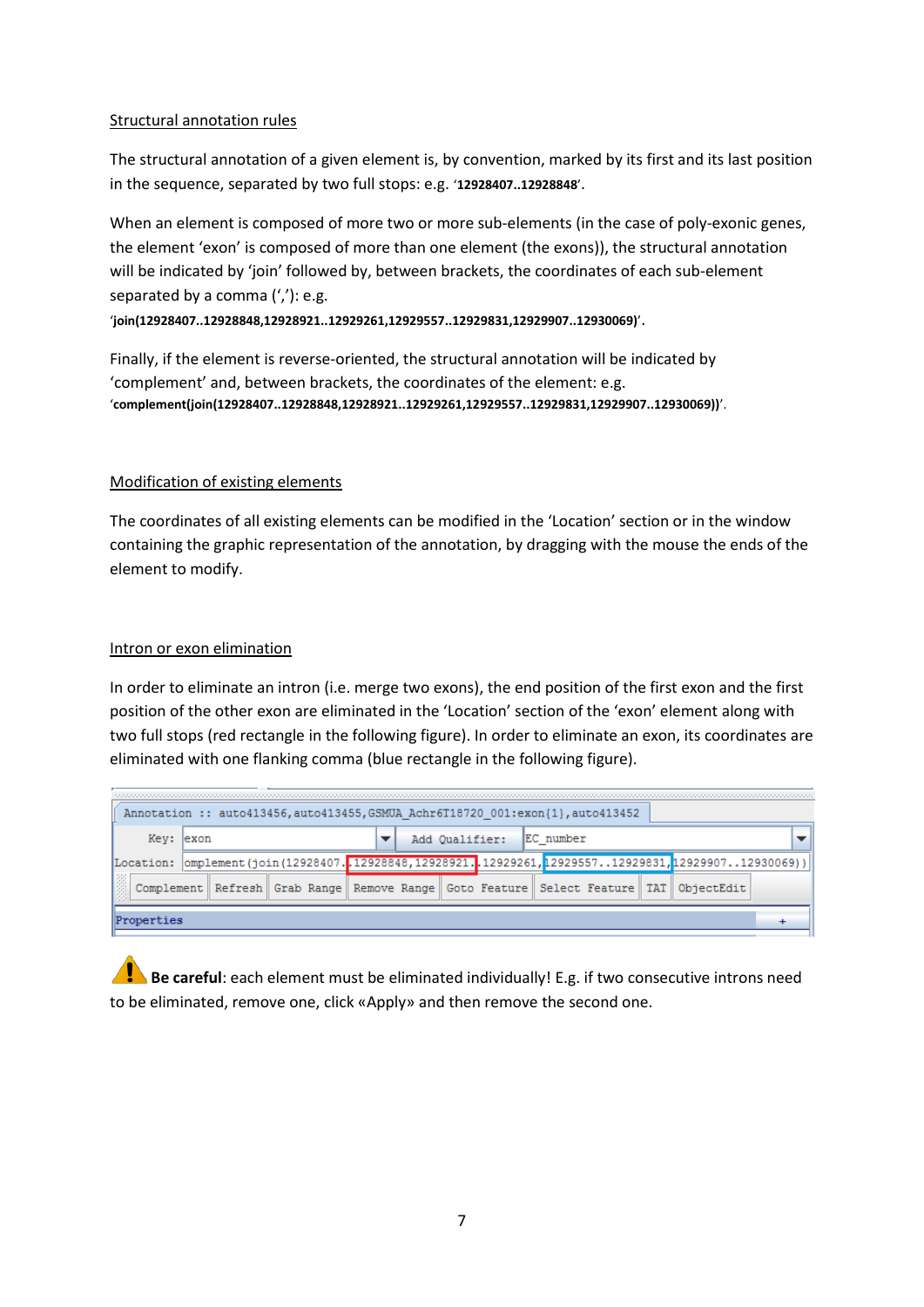## Structural annotation rules

The structural annotation of a given element is, by convention, marked by its first and its last position in the sequence, separated by two full stops: e.g. '**12928407..12928848**'.

When an element is composed of more two or more sub-elements (in the case of poly-exonic genes, the element 'exon' is composed of more than one element (the exons)), the structural annotation will be indicated by 'join' followed by, between brackets, the coordinates of each sub-element separated by a comma (','): e.g.

'**join(12928407..12928848,12928921..12929261,12929557..12929831,12929907..12930069)**'.

Finally, if the element is reverse-oriented, the structural annotation will be indicated by 'complement' and, between brackets, the coordinates of the element: e.g. '**complement(join(12928407..12928848,12928921..12929261,12929557..12929831,12929907..12930069))**'.

## Modification of existing elements

The coordinates of all existing elements can be modified in the 'Location' section or in the window containing the graphic representation of the annotation, by dragging with the mouse the ends of the element to modify.

## Intron or exon elimination

In order to eliminate an intron (i.e. merge two exons), the end position of the first exon and the first position of the other exon are eliminated in the 'Location' section of the 'exon' element along with two full stops (red rectangle in the following figure). In order to eliminate an exon, its coordinates are eliminated with one flanking comma (blue rectangle in the following figure).

|            | Annotation :: auto413456, auto413455, GSMUA Achr6T18720 001:exon{1}, auto413452 |  |  |  |  |  |                |  |           |  |  |                                                                                                            |  |  |
|------------|---------------------------------------------------------------------------------|--|--|--|--|--|----------------|--|-----------|--|--|------------------------------------------------------------------------------------------------------------|--|--|
| Kev: lexon |                                                                                 |  |  |  |  |  | Add Oualifier: |  | EC number |  |  |                                                                                                            |  |  |
|            |                                                                                 |  |  |  |  |  |                |  |           |  |  | [Location:  omplement(join(12928407.12928848,12928921.12929261,1292955712929831,1292990712930069))         |  |  |
|            |                                                                                 |  |  |  |  |  |                |  |           |  |  | Complement    Refresh    Grab Range    Remove Range    Goto Feature    Select Feature    TAT    ObjectEdit |  |  |
| Properties |                                                                                 |  |  |  |  |  |                |  |           |  |  |                                                                                                            |  |  |

**Be careful**: each element must be eliminated individually! E.g. if two consecutive introns need to be eliminated, remove one, click «Apply» and then remove the second one.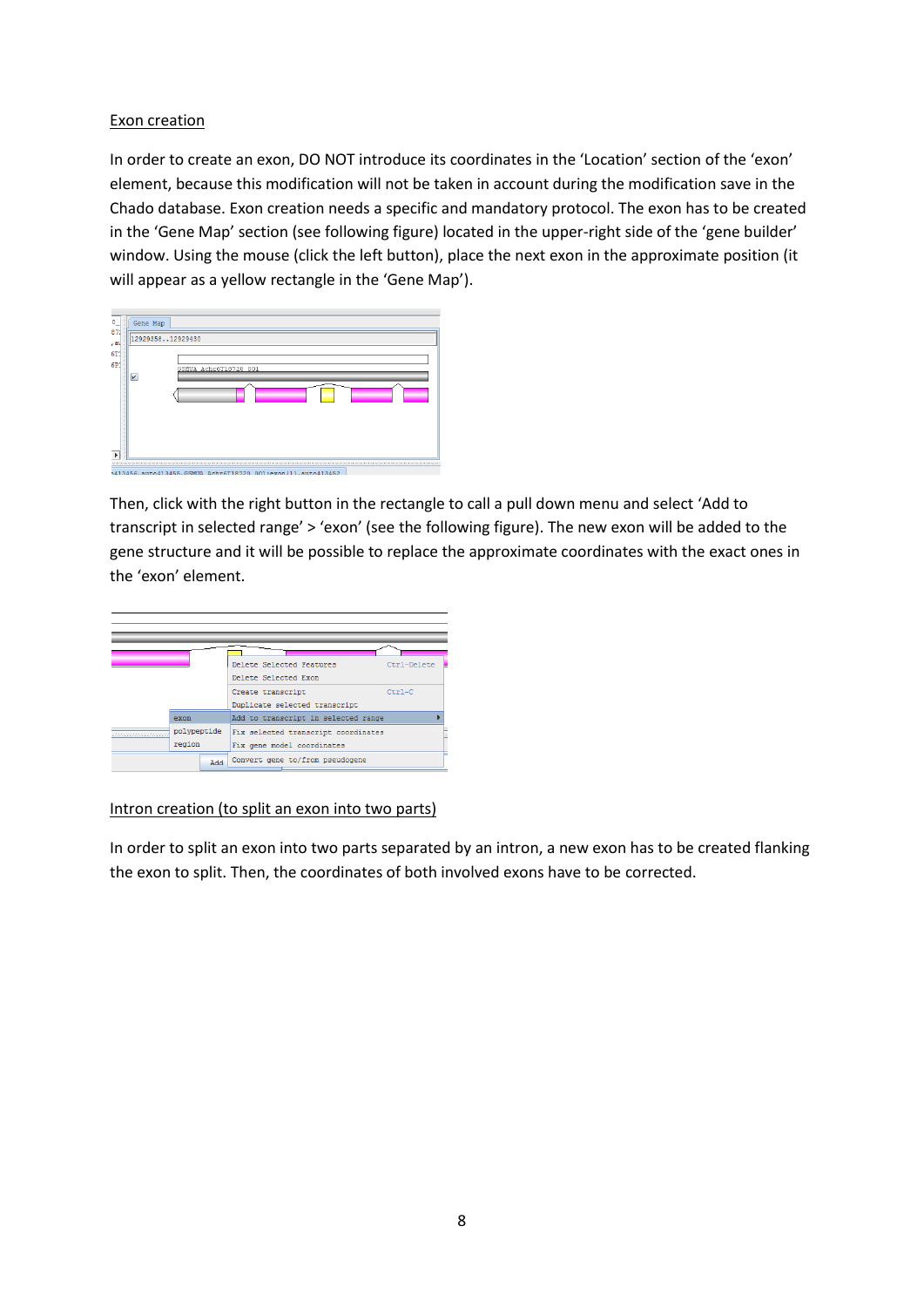## Exon creation

In order to create an exon, DO NOT introduce its coordinates in the 'Location' section of the 'exon' element, because this modification will not be taken in account during the modification save in the Chado database. Exon creation needs a specific and mandatory protocol. The exon has to be created in the 'Gene Map' section (see following figure) located in the upper-right side of the 'gene builder' window. Using the mouse (click the left button), place the next exon in the approximate position (it will appear as a yellow rectangle in the 'Gene Map').

| Gene Map                |                            |  |
|-------------------------|----------------------------|--|
| 1292935812929430        |                            |  |
| $\overline{\mathbf{v}}$ | GSMUA Achr6T18720 001<br>٠ |  |

Then, click with the right button in the rectangle to call a pull down menu and select 'Add to transcript in selected range' > 'exon' (see the following figure). The new exon will be added to the gene structure and it will be possible to replace the approximate coordinates with the exact ones in the 'exon' element.



#### Intron creation (to split an exon into two parts)

In order to split an exon into two parts separated by an intron, a new exon has to be created flanking the exon to split. Then, the coordinates of both involved exons have to be corrected.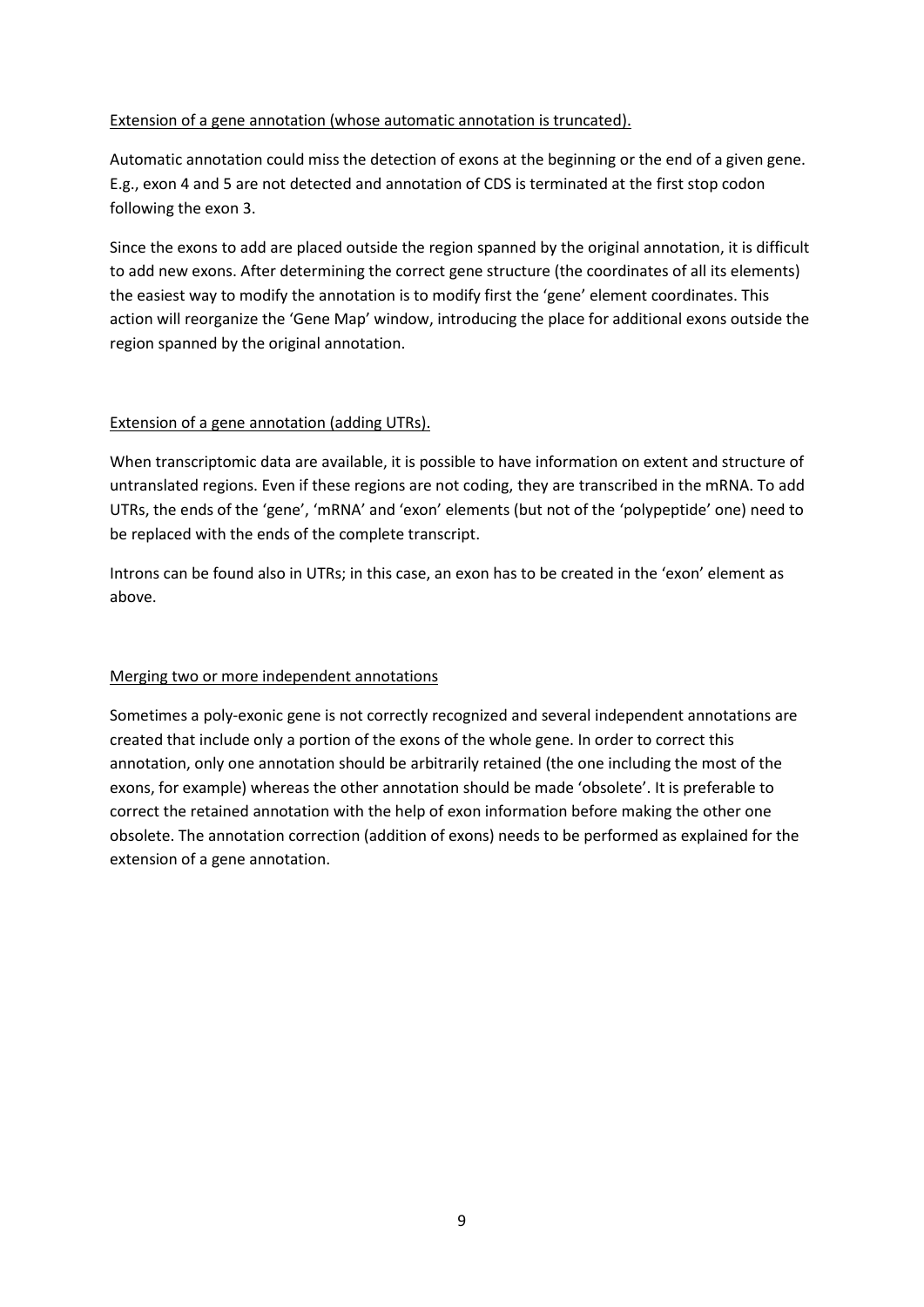## Extension of a gene annotation (whose automatic annotation is truncated).

Automatic annotation could miss the detection of exons at the beginning or the end of a given gene. E.g., exon 4 and 5 are not detected and annotation of CDS is terminated at the first stop codon following the exon 3.

Since the exons to add are placed outside the region spanned by the original annotation, it is difficult to add new exons. After determining the correct gene structure (the coordinates of all its elements) the easiest way to modify the annotation is to modify first the 'gene' element coordinates. This action will reorganize the 'Gene Map' window, introducing the place for additional exons outside the region spanned by the original annotation.

## Extension of a gene annotation (adding UTRs).

When transcriptomic data are available, it is possible to have information on extent and structure of untranslated regions. Even if these regions are not coding, they are transcribed in the mRNA. To add UTRs, the ends of the 'gene', 'mRNA' and 'exon' elements (but not of the 'polypeptide' one) need to be replaced with the ends of the complete transcript.

Introns can be found also in UTRs; in this case, an exon has to be created in the 'exon' element as above.

#### Merging two or more independent annotations

Sometimes a poly-exonic gene is not correctly recognized and several independent annotations are created that include only a portion of the exons of the whole gene. In order to correct this annotation, only one annotation should be arbitrarily retained (the one including the most of the exons, for example) whereas the other annotation should be made 'obsolete'. It is preferable to correct the retained annotation with the help of exon information before making the other one obsolete. The annotation correction (addition of exons) needs to be performed as explained for the extension of a gene annotation.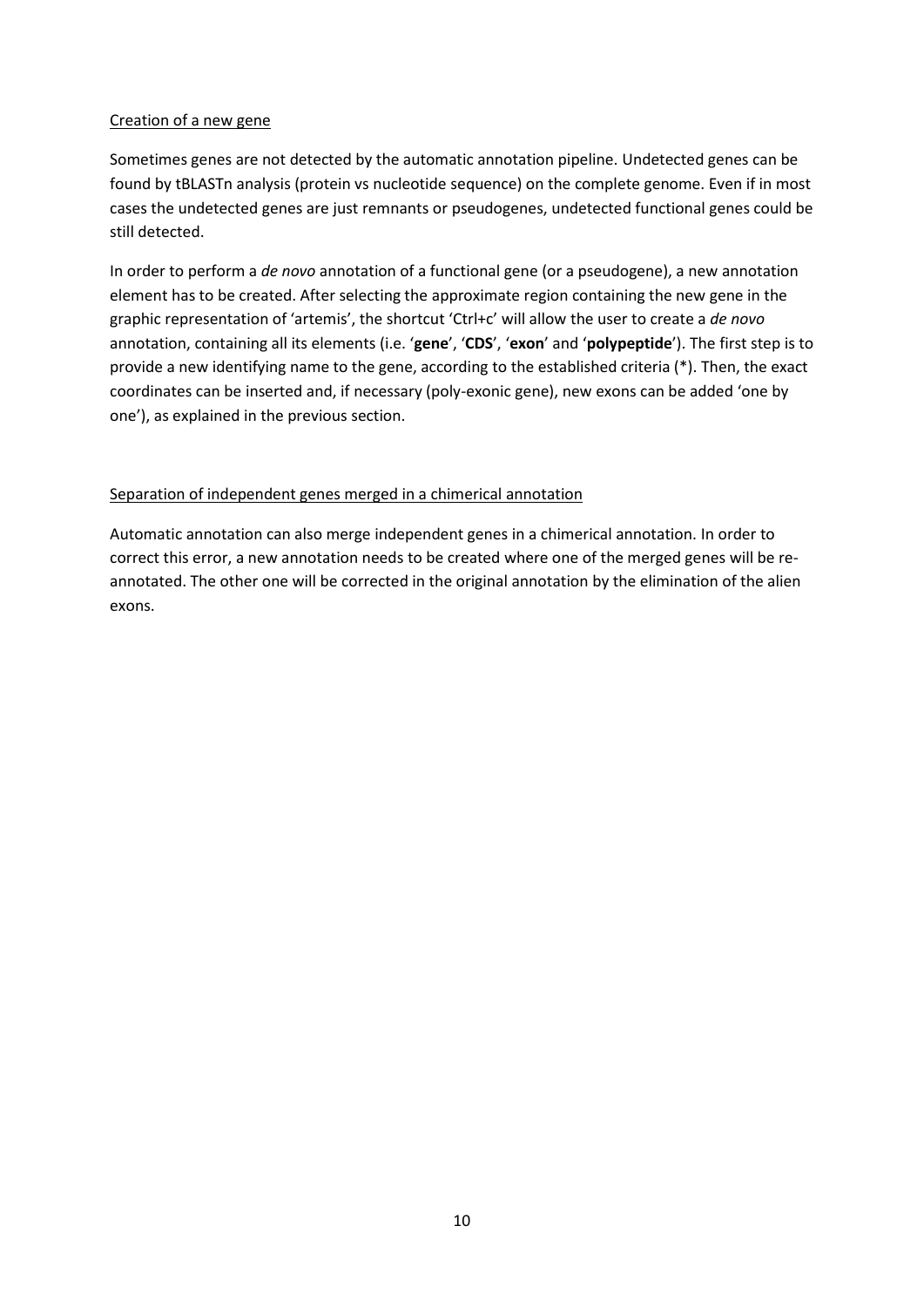## Creation of a new gene

Sometimes genes are not detected by the automatic annotation pipeline. Undetected genes can be found by tBLASTn analysis (protein vs nucleotide sequence) on the complete genome. Even if in most cases the undetected genes are just remnants or pseudogenes, undetected functional genes could be still detected.

In order to perform a *de novo* annotation of a functional gene (or a pseudogene), a new annotation element has to be created. After selecting the approximate region containing the new gene in the graphic representation of 'artemis', the shortcut 'Ctrl+c' will allow the user to create a *de novo* annotation, containing all its elements (i.e. '**gene**', '**CDS**', '**exon**' and '**polypeptide**'). The first step is to provide a new identifying name to the gene, according to the established criteria (\*). Then, the exact coordinates can be inserted and, if necessary (poly-exonic gene), new exons can be added 'one by one'), as explained in the previous section.

# Separation of independent genes merged in a chimerical annotation

Automatic annotation can also merge independent genes in a chimerical annotation. In order to correct this error, a new annotation needs to be created where one of the merged genes will be reannotated. The other one will be corrected in the original annotation by the elimination of the alien exons.